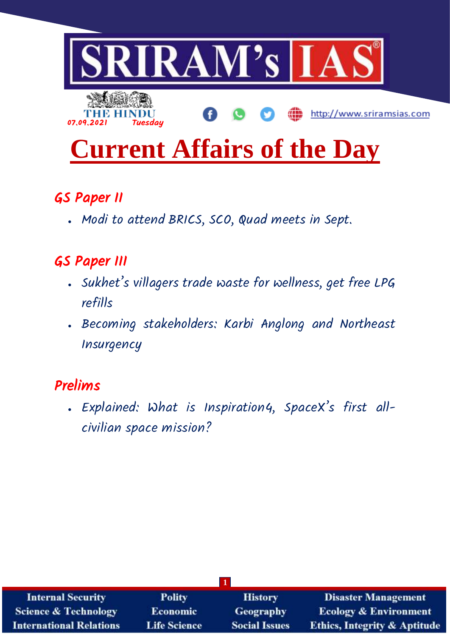

# **Current Affairs of the Day**

# GS Paper II

Modi to attend BRICS, SCO, Quad meets in Sept.

# GS Paper III

- . Sukhet's villagers trade waste for wellness, get free LPG refills
- . Becoming stakeholders: Karbi Anglong and Northeast **Insurgency**

# Prelims

 Explained: What is Inspiration4, SpaceX's first allcivilian space mission?

| <b>Internal Security</b>        | <b>Polity</b>                       | <b>History</b>       | <b>Disaster Management</b>              |  |
|---------------------------------|-------------------------------------|----------------------|-----------------------------------------|--|
| <b>Science &amp; Technology</b> | <b>Geography</b><br><b>Economic</b> |                      | <b>Ecology &amp; Environment</b>        |  |
| <b>International Relations</b>  | <b>Life Science</b>                 | <b>Social Issues</b> | <b>Ethics, Integrity &amp; Aptitude</b> |  |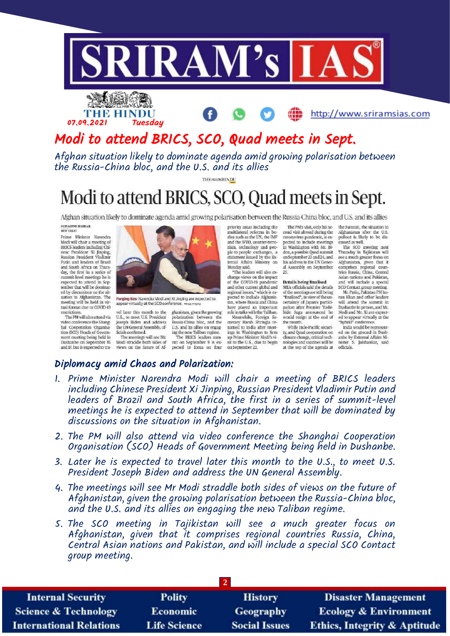

## THE HINDU 07.09.2021 Tuesday

http://www.sriramsias.com

# Modi to attend BRICS, SCO, Quad meets in Sept.

Afghan situation likely to dominate agenda amid growing polarisation between the Russia-China bloc, and the U.S. and its allies

**THE MON HIVDE** 

# Modi to attend BRICS, SCO, Quad meets in Sept.

Afghan situation likely to dominate agenda amid growing polarisation between the Russia-China bloc, and U.S. and its allies

SUHASINI HAIDAR<br>HEW DELHI

Prime Minister Narendra<br>Modi will chair a meeting of BRICS leaders including Chinese President Xi Jinping Russian President Vladimir Putin and leaders of Brazil<br>and South Africa on Thursday, the first in a series of summit-level meetings he is<br>expected to attend in September that will be dominated by discussions on the situation in Afghanistan. The meeting will be held in virtual format due to COVID-19 restrictions.

The PM will also attend via video conference the Shanghai Cooperation Organisa tion (SCO) Heads of Govern-<br>ment meeting being held in Dushanbe on September 16 and I7, but is expected to tra-

vel later this month to the ghanistan, given the growing U.S., to meet U.S. President<br>Joseph Biden and address the UN General Assembly, officials confirmed. The meetings will see Mr. Modi straddle both sides of views on the future of Af-

Forging ties: Narendra Modi and XI Jinping are expected to<br>appear virtually at the SCO conference.  $\star_{\text{FLE-PHOT}}$ 

polarisation between the<br>Russia-China bloc, and the U.S. and its allies on engaging the new Taliban regime.<br>The BRICS leaders summit on September 9 is ex-<br>pected to focus on four priority areas including the udtilateral reforms in hodies such as the UN, the IMF and the WTO, counter-terrorism, technology and peo-<br>ple-to-people exchanges, a<br>statement issued by the External Affairs Ministry on Monday said. "The leaders will also ex-

change views on the impact<br>of the COVID-19 pandemic and other current global and<br>regional issues," which is ex-<br>pected to include Afghanistan, where Russia and China have played an important Meanwhile, Foreign Seturned to India after meet-

ings in Washington to firm<br>up Prime Minister Modi's visit to the U.S., due to begin on Septe  $ster 23$ .

The PM's visit, only his secand visit abroad during the coronavirus pandemic, is ex-<br>pected to include meetings in Washington with Mr. Bi-<br>den, a possible Quad summit on September 23 and 24, and his address to the UN General Assembly on September 25

Details being finalised MEA officials said the details

of the meetings are still being<br>"finalised", in view of the uncertainty of Japan's partici-<br>pation after Premier Yoshi-<br>hide Suga announced he  $\,$  would resign at the end of the month.

While Indo-Pacific security, and Quad cooperation on ed on the ground in Dush-climate change, critical tech- anbe by External Affairs Minologies and vaccines will be at the top of the agenda at

the Summit, the situation in Afghanistan after the U.S. pullout is likely to be dis-<br>cussed as well.

The SCO meeting next Thursday in Tajikistan will see a much greater focus on Afghanistan, given that it<br>comprises regional coun-<br>tries Russia, China, Central Asian nations and Pakistan,<br>and will include a special

SCO Contact group meeting.<br>Mr. Putin, Pakistan PM Imran Khan and other leaders will attend the summit in<br>Dushanbe in person, and Mr.<br>Modi and Mr. Xi are expected to appear virtually at the<br>"hybrid" conference.

India would be representnister S. Jaishankar, said officials.

#### Diplomacy amid Chaos and Polarization:

- 1. Prime Minister Narendra Modi will chair a meeting of BRICS leaders including Chinese President Xi Jinping, Russian President Vladimir Putin and leaders of Brazil and South Africa, the first in a series of summit-level meetings he is expected to attend in September that will be dominated by discussions on the situation in Afghanistan.
- 2. The PM will also attend via video conference the Shanghai Cooperation Organisation (SCO) Heads of Government Meeting being held in Dushanbe.
- 3. Later he is expected to travel later this month to the U.S., to meet U.S. President Joseph Biden and address the UN General Assembly.
- 4. The meetings will see Mr Modi straddle both sides of views on the future of Afghanistan, given the growing polarisation between the Russia-China bloc, and the U.S. and its allies on engaging the new Taliban regime.
- 5. The SCO meeting in Tajikistan will see a much greater focus on Afghanistan, given that it comprises regional countries Russia, China, Central Asian nations and Pakistan, and will include a special SCO Contact group meeting.

| <b>Internal Security</b>        | <b>Polity</b>       | <b>History</b>       | <b>Disaster Management</b>              |  |
|---------------------------------|---------------------|----------------------|-----------------------------------------|--|
| <b>Science &amp; Technology</b> | <b>Economic</b>     | Geography            | <b>Ecology &amp; Environment</b>        |  |
| <b>International Relations</b>  | <b>Life Science</b> | <b>Social Issues</b> | <b>Ethics, Integrity &amp; Aptitude</b> |  |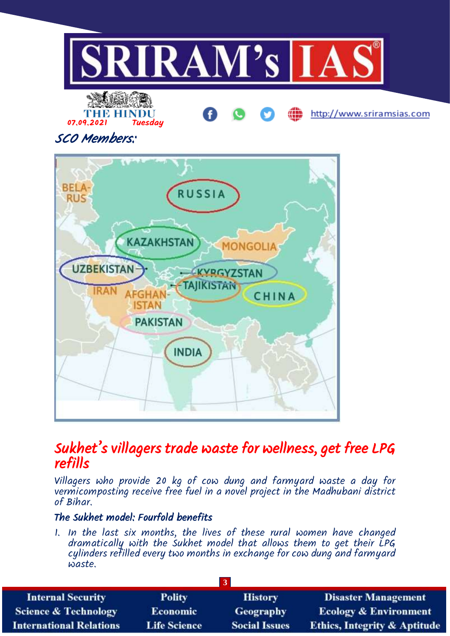

SCO Members:



### Sukhet's villagers trade waste for wellness, get free LPG refills

Villagers who provide 20 kg of cow dung and farmyard waste a day for vermicomposting receive free fuel in a novel project in the Madhubani district of Bihar.

#### The Sukhet model: Fourfold benefits

1. In the last six months, the lives of these rural women have changed dramatically with the Sukhet model that allows them to get their LPG cylinders refilled every two months in exchange for cow dung and farmyard waste.

| <b>Internal Security</b>        | <b>Polity</b>       | <b>History</b>       | <b>Disaster Management</b>              |  |
|---------------------------------|---------------------|----------------------|-----------------------------------------|--|
| <b>Science &amp; Technology</b> | <b>Economic</b>     | Geography            | <b>Ecology &amp; Environment</b>        |  |
| <b>International Relations</b>  | <b>Life Science</b> | <b>Social Issues</b> | <b>Ethics, Integrity &amp; Aptitude</b> |  |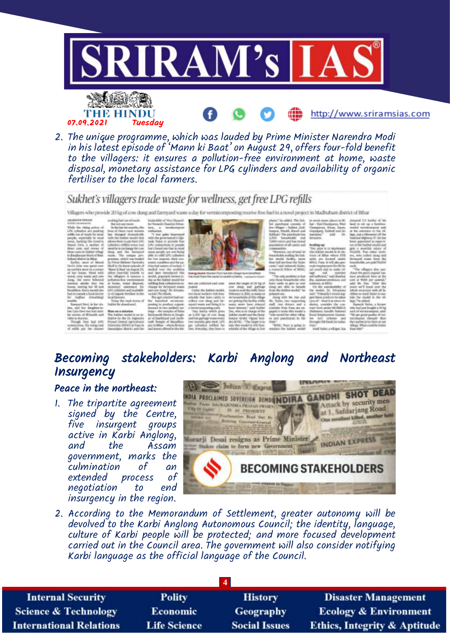

2. The unique programme, which was lauded by Prime Minister Narendra Modi in his latest episode of 'Mann ki Baat' on August 29, offers four-fold benefit to the villagers: it ensures a pollution-free environment at home, waste disposal, monetary assistance for LPG cylinders and availability of organic fertiliser to the local farmers.

#### Sukhet's villagers trade waste for wellness, get free LPG refills

Villagers who provide 20 kg of cow dung and farmuard waste a day for vermicompositing receive free fuel in a movel project in Madhubani district of Bihar

conservation in

the rising p

he, First with<br>wave and cover<br>anno bilanced<br>anno bilanced<br>ing her H and<br>here monthales<br>the bilanced fuctor<br>at the bilanced tending inations<br>This fit<br>si, is be six failed leads

be daughter to Man an aminder Decision of Wan an aminder of the state of the state of Wandale and the state of the state of the state of the state of the state of the state of the state of the state of the state of the sta

Alexander and Search  $\begin{tabular}{l|c|c|c|c} \hline \textbf{m} & \textbf{m} & \textbf{m} & \textbf{m} & \textbf{m} & \textbf{m} & \textbf{m} & \textbf{m} & \textbf{m} & \textbf{m} & \textbf{m} & \textbf{m} & \textbf{m} & \textbf{m} & \textbf{m} & \textbf{m} & \textbf{m} & \textbf{m} & \textbf{m} & \textbf{m} & \textbf{m} & \textbf{m} & \textbf{m} & \textbf{m} & \textbf{m} & \textbf{m} & \textbf{m} & \textbf{m} & \textbf{m$ 



**ARTICLES** 

he model bedin, now<br>for tall as fronche them

the Subhit model in 10<br>stress of Albay where 1<br>sards - are - located - un<br>Alba), Para, it will alway

ne che<br>m is fu

Becoming stakeholders: Karbi Anglong and Northeast **Insurgency** 

#### Peace in the northeast:

1. The tripartite agreement signed by the Centre, five insurgent groups active in Karbi Anglong, and the Assam government, marks the culmination of an extended process negotiation to end insurgency in the region.



2. According to the Memorandum of Settlement, greater autonomy will be devolved to the Karbi Anglong Autonomous Council; the identity, language, culture of Karbi people will be protected; and more focused development carried out in the Council area. The government will also consider notifying Karbi language as the official language of the Council.

| <b>Polity</b>       | <b>History</b>       | <b>Disaster Management</b>              |  |  |
|---------------------|----------------------|-----------------------------------------|--|--|
| <b>Economic</b>     | <b>Geography</b>     | <b>Ecology &amp; Environment</b>        |  |  |
| <b>Life Science</b> | <b>Social Issues</b> | <b>Ethics, Integrity &amp; Aptitude</b> |  |  |
|                     |                      |                                         |  |  |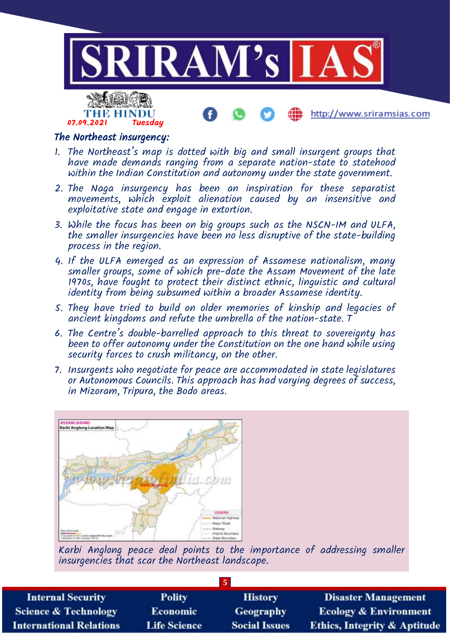

#### The Northeast insurgency:

- 1. The Northeast's map is dotted with big and small insurgent groups that have made demands ranging from a separate nation-state to statehood within the Indian Constitution and autonomy under the state government.
- 2. The Naga insurgency has been an inspiration for these separatist movements, which exploit alienation caused by an insensitive and exploitative state and engage in extortion.
- 3. While the focus has been on big groups such as the NSCN-IM and ULFA, the smaller insurgencies have been no less disruptive of the state-building process in the region.
- 4. If the ULFA emerged as an expression of Assamese nationalism, many smaller groups, some of which pre-date the Assam Movement of the late 1970s, have fought to protect their distinct ethnic, linguistic and cultural identity from being subsumed within a broader Assamese identity.
- 5. They have tried to build on older memories of kinship and legacies of ancient kingdoms and refute the umbrella of the nation-state. T
- 6. The Centre's double-barrelled approach to this threat to sovereignty has been to offer autonomy under the Constitution on the one hand while using security forces to crush militancy, on the other.
- 7. Insurgents who negotiate for peace are accommodated in state legislatures or Autonomous Councils. This approach has had varying degrees of success, in Mizoram, Tripura, the Bodo areas.



Karbi Anglong peace deal points to the importance of addressing smaller insurgencies that scar the Northeast landscape.

| <b>Internal Security</b>        | <b>Polity</b>       | <b>History</b>       | <b>Disaster Management</b>              |  |
|---------------------------------|---------------------|----------------------|-----------------------------------------|--|
| <b>Science &amp; Technology</b> | <b>Economic</b>     | Geography            | <b>Ecology &amp; Environment</b>        |  |
| <b>International Relations</b>  | <b>Life Science</b> | <b>Social Issues</b> | <b>Ethics, Integrity &amp; Aptitude</b> |  |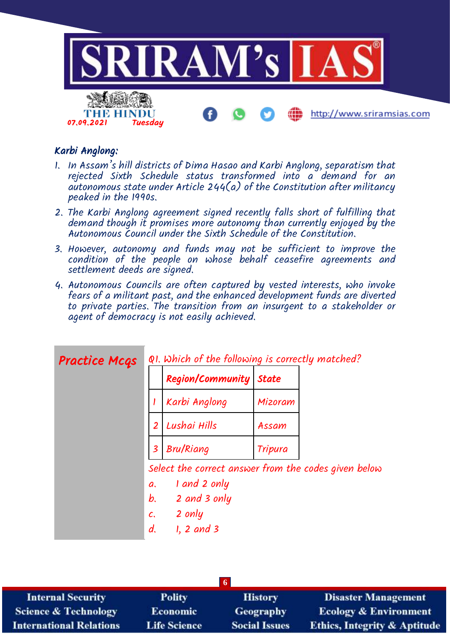

#### Karbi Anglong:

- 1. In Assam's hill districts of Dima Hasao and Karbi Anglong, separatism that rejected Sixth Schedule status transformed into a demand for an autonomous state under Article 244(a) of the Constitution after militancy peaked in the 1990s.
- 2. The Karbi Anglong agreement signed recently falls short of fulfilling that demand though it promises more autonomy than currently enjoyed by the Autonomous Council under the Sixth Schedule of the Constitution.
- 3. However, autonomy and funds may not be sufficient to improve the condition of the people on whose behalf ceasefire agreements and settlement deeds are signed.
- 4. Autonomous Councils are often captured by vested interests, who invoke fears of a militant past, and the enhanced development funds are diverted to private parties. The transition from an insurgent to a stakeholder or agent of democracy is not easily achieved.

| <b>Practice Mcgs</b> | QI. Which of the following is correctly matched? |                                                      |              |  |
|----------------------|--------------------------------------------------|------------------------------------------------------|--------------|--|
|                      |                                                  | Region/Community                                     | <b>State</b> |  |
|                      |                                                  | Karbi Anglong                                        | Mizoram      |  |
|                      | $\overline{2}$                                   | Lushai Hills                                         | Assam        |  |
|                      | $\overline{\mathbf{3}}$                          | <b>Bru/Riang</b>                                     | Tripura      |  |
|                      |                                                  | Select the correct answer from the codes given below |              |  |
|                      | a.                                               | I and 2 only                                         |              |  |
|                      | $b_{1}$                                          | 2 and 3 only                                         |              |  |
|                      |                                                  | $c.$ 2 only                                          |              |  |
|                      | d.                                               | $1, 2$ and 3                                         |              |  |

| <b>Internal Security</b>        | <b>Polity</b>       | <b>History</b>       | <b>Disaster Management</b>              |  |
|---------------------------------|---------------------|----------------------|-----------------------------------------|--|
| <b>Science &amp; Technology</b> | <b>Economic</b>     | <b>Geography</b>     | <b>Ecology &amp; Environment</b>        |  |
| <b>International Relations</b>  | <b>Life Science</b> | <b>Social Issues</b> | <b>Ethics, Integrity &amp; Aptitude</b> |  |